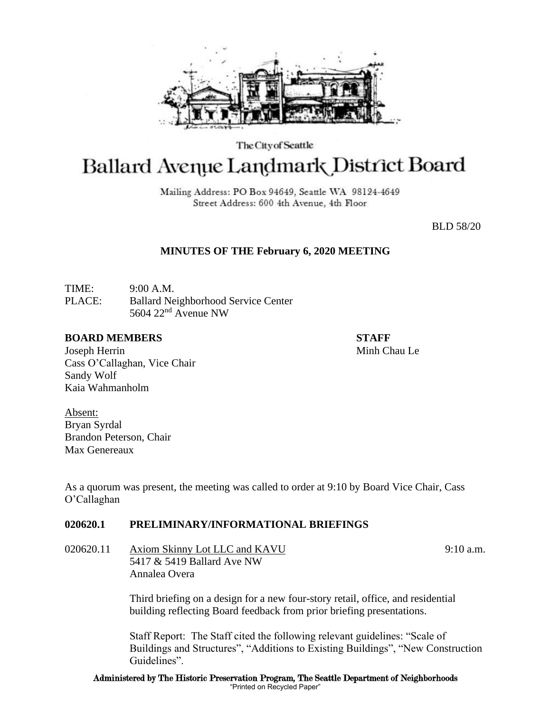

The City of Seattle

# Ballard Avenue Landmark District Board

Mailing Address: PO Box 94649, Seattle WA 98124-4649 Street Address: 600 4th Avenue, 4th Floor

BLD 58/20

## **MINUTES OF THE February 6, 2020 MEETING**

TIME: 9:00 A.M. PLACE: Ballard Neighborhood Service Center 5604 22nd Avenue NW

## **BOARD MEMBERS STAFF**

Joseph Herrin Minh Chau Le Cass O'Callaghan, Vice Chair Sandy Wolf Kaia Wahmanholm

Absent: Bryan Syrdal Brandon Peterson, Chair Max Genereaux

As a quorum was present, the meeting was called to order at 9:10 by Board Vice Chair, Cass O'Callaghan

## **020620.1 PRELIMINARY/INFORMATIONAL BRIEFINGS**

020620.11 Axiom Skinny Lot LLC and KAVU 9:10 a.m. 5417 & 5419 Ballard Ave NW Annalea Overa

> Third briefing on a design for a new four-story retail, office, and residential building reflecting Board feedback from prior briefing presentations.

Staff Report: The Staff cited the following relevant guidelines: "Scale of Buildings and Structures", "Additions to Existing Buildings", "New Construction Guidelines".

Administered by The Historic Preservation Program, The Seattle Department of Neighborhoods "Printed on Recycled Paper"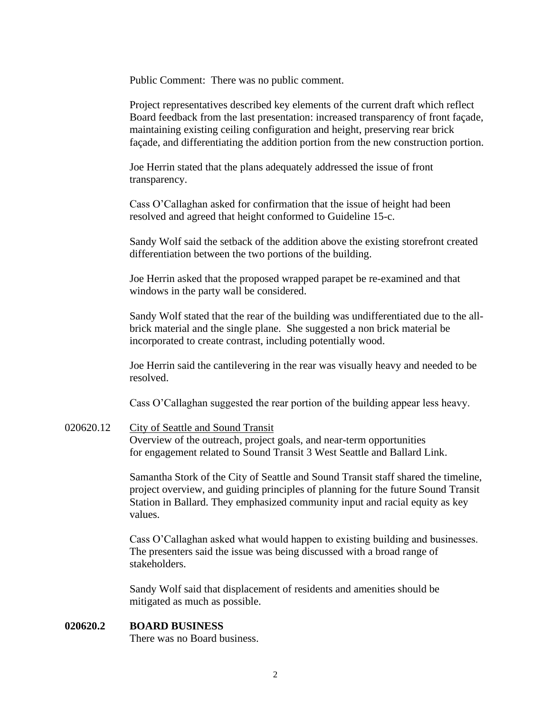Public Comment: There was no public comment.

Project representatives described key elements of the current draft which reflect Board feedback from the last presentation: increased transparency of front façade, maintaining existing ceiling configuration and height, preserving rear brick façade, and differentiating the addition portion from the new construction portion.

Joe Herrin stated that the plans adequately addressed the issue of front transparency.

Cass O'Callaghan asked for confirmation that the issue of height had been resolved and agreed that height conformed to Guideline 15-c.

Sandy Wolf said the setback of the addition above the existing storefront created differentiation between the two portions of the building.

Joe Herrin asked that the proposed wrapped parapet be re-examined and that windows in the party wall be considered.

Sandy Wolf stated that the rear of the building was undifferentiated due to the allbrick material and the single plane. She suggested a non brick material be incorporated to create contrast, including potentially wood.

Joe Herrin said the cantilevering in the rear was visually heavy and needed to be resolved.

Cass O'Callaghan suggested the rear portion of the building appear less heavy.

020620.12 City of Seattle and Sound Transit

Overview of the outreach, project goals, and near-term opportunities for engagement related to Sound Transit 3 West Seattle and Ballard Link.

Samantha Stork of the City of Seattle and Sound Transit staff shared the timeline, project overview, and guiding principles of planning for the future Sound Transit Station in Ballard. They emphasized community input and racial equity as key values.

Cass O'Callaghan asked what would happen to existing building and businesses. The presenters said the issue was being discussed with a broad range of stakeholders.

Sandy Wolf said that displacement of residents and amenities should be mitigated as much as possible.

#### **020620.2 BOARD BUSINESS**

There was no Board business.